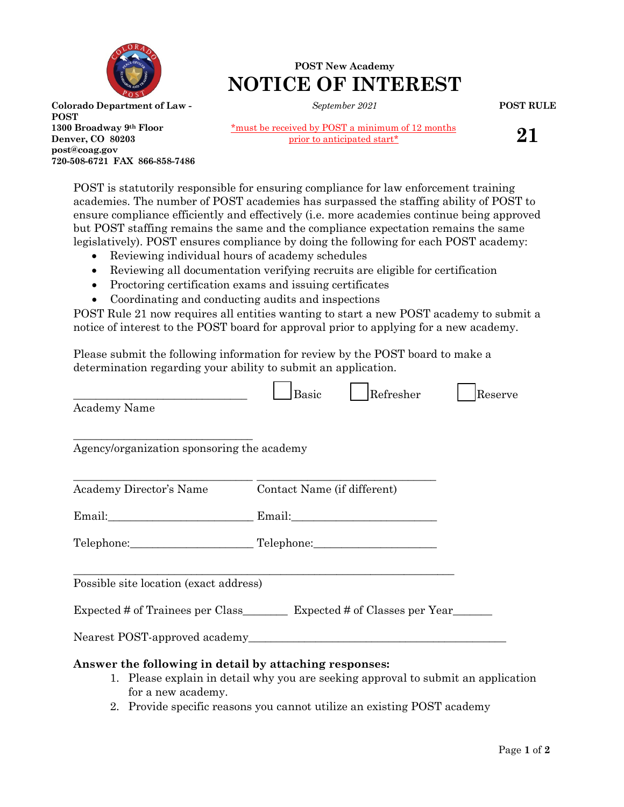

**1300 Broadway 9th Floor Denver, CO 80203 post@coag.gov**

**720-508-6721 FAX 866-858-7486**

**POST**

## **POST New Academy NOTICE OF INTEREST**

*September 2021*

**POST RULE**

\*must be received by POST a minimum of 12 months prior to anticipated start\*

**21**

POST is statutorily responsible for ensuring compliance for law enforcement training academies. The number of POST academies has surpassed the staffing ability of POST to ensure compliance efficiently and effectively (i.e. more academies continue being approved but POST staffing remains the same and the compliance expectation remains the same legislatively). POST ensures compliance by doing the following for each POST academy:

- Reviewing individual hours of academy schedules
- Reviewing all documentation verifying recruits are eligible for certification
- Proctoring certification exams and issuing certificates
- Coordinating and conducting audits and inspections

POST Rule 21 now requires all entities wanting to start a new POST academy to submit a notice of interest to the POST board for approval prior to applying for a new academy.

Please submit the following information for review by the POST board to make a determination regarding your ability to submit an application.

|                                                                              | Refresher<br><b>Basic</b>                                                         | Reserve |
|------------------------------------------------------------------------------|-----------------------------------------------------------------------------------|---------|
| Academy Name                                                                 |                                                                                   |         |
| Agency/organization sponsoring the academy                                   |                                                                                   |         |
| Academy Director's Name                                                      | Contact Name (if different)                                                       |         |
|                                                                              |                                                                                   |         |
|                                                                              | Telephone: Telephone: Telephone:                                                  |         |
| Possible site location (exact address)                                       |                                                                                   |         |
|                                                                              | Expected # of Trainees per Class __________ Expected # of Classes per Year        |         |
|                                                                              |                                                                                   |         |
| Answer the following in detail by attaching responses:<br>for a new academy. | 1. Please explain in detail why you are seeking approval to submit an application |         |

2. Provide specific reasons you cannot utilize an existing POST academy